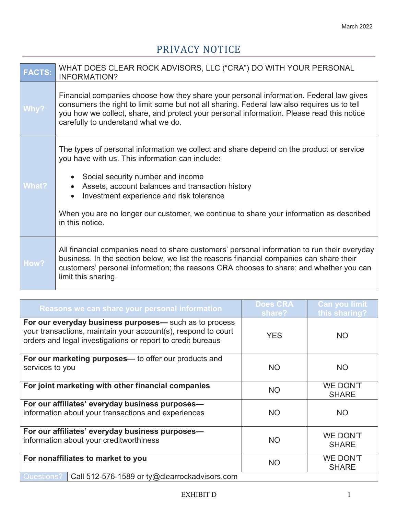## PRIVACY NOTICE

| <b>FACTS:</b> | WHAT DOES CLEAR ROCK ADVISORS, LLC ("CRA") DO WITH YOUR PERSONAL<br><b>INFORMATION?</b>                                                                                                                                                                                                                                                                                                       |
|---------------|-----------------------------------------------------------------------------------------------------------------------------------------------------------------------------------------------------------------------------------------------------------------------------------------------------------------------------------------------------------------------------------------------|
| Why?          | Financial companies choose how they share your personal information. Federal law gives<br>consumers the right to limit some but not all sharing. Federal law also requires us to tell<br>you how we collect, share, and protect your personal information. Please read this notice<br>carefully to understand what we do.                                                                     |
| <b>What?</b>  | The types of personal information we collect and share depend on the product or service<br>you have with us. This information can include:<br>Social security number and income<br>Assets, account balances and transaction history<br>Investment experience and risk tolerance<br>When you are no longer our customer, we continue to share your information as described<br>in this notice. |
| How?          | All financial companies need to share customers' personal information to run their everyday<br>business. In the section below, we list the reasons financial companies can share their<br>customers' personal information; the reasons CRA chooses to share; and whether you can<br>limit this sharing.                                                                                       |

| Reasons we can share your personal information                                                                                                                                         | <b>Does CRA</b><br>share? | <b>Can you limit</b><br>this sharing? |
|----------------------------------------------------------------------------------------------------------------------------------------------------------------------------------------|---------------------------|---------------------------------------|
| For our everyday business purposes— such as to process<br>your transactions, maintain your account(s), respond to court<br>orders and legal investigations or report to credit bureaus | <b>YES</b>                | <b>NO</b>                             |
| For our marketing purposes— to offer our products and<br>services to you                                                                                                               | <b>NO</b>                 | <b>NO</b>                             |
| For joint marketing with other financial companies                                                                                                                                     | <b>NO</b>                 | <b>WE DON'T</b><br><b>SHARE</b>       |
| For our affiliates' everyday business purposes-<br>information about your transactions and experiences                                                                                 | <b>NO</b>                 | <b>NO</b>                             |
| For our affiliates' everyday business purposes-<br>information about your creditworthiness                                                                                             | <b>NO</b>                 | <b>WE DON'T</b><br><b>SHARE</b>       |
| For nonaffiliates to market to you                                                                                                                                                     | <b>NO</b>                 | <b>WE DON'T</b><br><b>SHARE</b>       |
| Questions?<br>Call 512-576-1589 or ty@clearrockadvisors.com                                                                                                                            |                           |                                       |